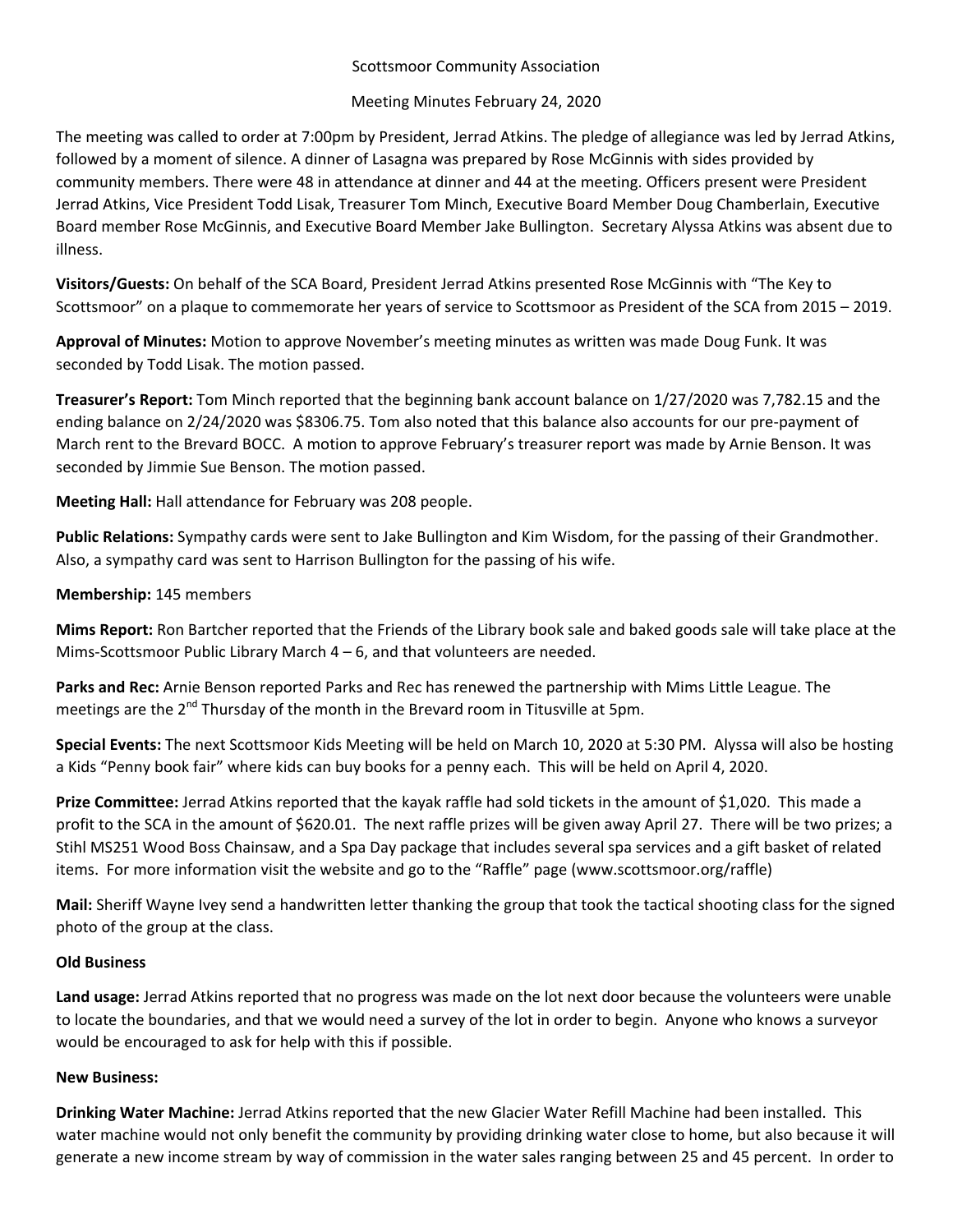# Scottsmoor Community Association

# Meeting Minutes February 24, 2020

The meeting was called to order at 7:00pm by President, Jerrad Atkins. The pledge of allegiance was led by Jerrad Atkins, followed by a moment of silence. A dinner of Lasagna was prepared by Rose McGinnis with sides provided by community members. There were 48 in attendance at dinner and 44 at the meeting. Officers present were President Jerrad Atkins, Vice President Todd Lisak, Treasurer Tom Minch, Executive Board Member Doug Chamberlain, Executive Board member Rose McGinnis, and Executive Board Member Jake Bullington. Secretary Alyssa Atkins was absent due to illness.

**Visitors/Guests:** On behalf of the SCA Board, President Jerrad Atkins presented Rose McGinnis with "The Key to Scottsmoor" on a plaque to commemorate her years of service to Scottsmoor as President of the SCA from 2015 – 2019.

**Approval of Minutes:** Motion to approve November's meeting minutes as written was made Doug Funk. It was seconded by Todd Lisak. The motion passed.

**Treasurer's Report:** Tom Minch reported that the beginning bank account balance on 1/27/2020 was 7,782.15 and the ending balance on 2/24/2020 was \$8306.75. Tom also noted that this balance also accounts for our pre‐payment of March rent to the Brevard BOCC. A motion to approve February's treasurer report was made by Arnie Benson. It was seconded by Jimmie Sue Benson. The motion passed.

**Meeting Hall:** Hall attendance for February was 208 people.

**Public Relations:** Sympathy cards were sent to Jake Bullington and Kim Wisdom, for the passing of their Grandmother. Also, a sympathy card was sent to Harrison Bullington for the passing of his wife.

# **Membership:** 145 members

**Mims Report:** Ron Bartcher reported that the Friends of the Library book sale and baked goods sale will take place at the Mims-Scottsmoor Public Library March  $4 - 6$ , and that volunteers are needed.

**Parks and Rec:** Arnie Benson reported Parks and Rec has renewed the partnership with Mims Little League. The meetings are the  $2^{nd}$  Thursday of the month in the Brevard room in Titusville at 5pm.

**Special Events:** The next Scottsmoor Kids Meeting will be held on March 10, 2020 at 5:30 PM. Alyssa will also be hosting a Kids "Penny book fair" where kids can buy books for a penny each. This will be held on April 4, 2020.

**Prize Committee:** Jerrad Atkins reported that the kayak raffle had sold tickets in the amount of \$1,020. This made a profit to the SCA in the amount of \$620.01. The next raffle prizes will be given away April 27. There will be two prizes; a Stihl MS251 Wood Boss Chainsaw, and a Spa Day package that includes several spa services and a gift basket of related items. For more information visit the website and go to the "Raffle" page (www.scottsmoor.org/raffle)

**Mail:** Sheriff Wayne Ivey send a handwritten letter thanking the group that took the tactical shooting class for the signed photo of the group at the class.

### **Old Business**

**Land usage:** Jerrad Atkins reported that no progress was made on the lot next door because the volunteers were unable to locate the boundaries, and that we would need a survey of the lot in order to begin. Anyone who knows a surveyor would be encouraged to ask for help with this if possible.

### **New Business:**

**Drinking Water Machine:** Jerrad Atkins reported that the new Glacier Water Refill Machine had been installed. This water machine would not only benefit the community by providing drinking water close to home, but also because it will generate a new income stream by way of commission in the water sales ranging between 25 and 45 percent. In order to